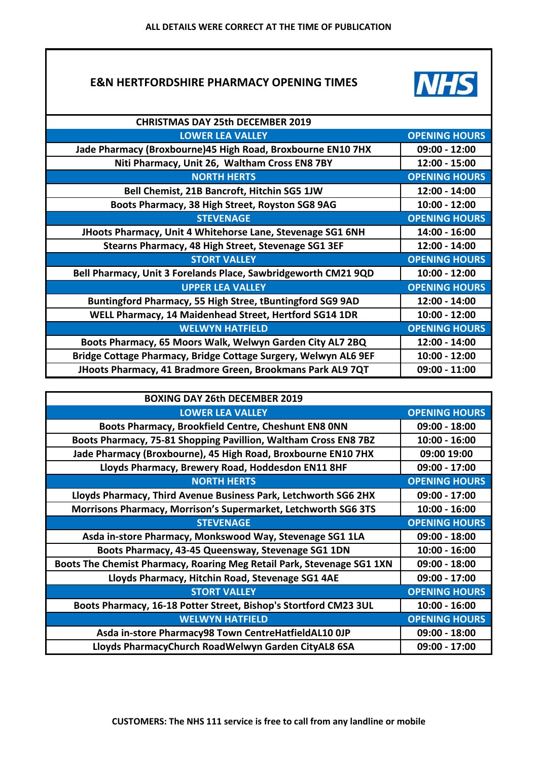## **E&N HERTFORDSHIRE PHARMACY OPENING TIMES**



| <b>CHRISTMAS DAY 25th DECEMBER 2019</b>                         |                      |
|-----------------------------------------------------------------|----------------------|
| <b>LOWER LEA VALLEY</b>                                         | <b>OPENING HOURS</b> |
| Jade Pharmacy (Broxbourne) 45 High Road, Broxbourne EN10 7HX    | $09:00 - 12:00$      |
| Niti Pharmacy, Unit 26, Waltham Cross EN8 7BY                   | 12:00 - 15:00        |
| <b>NORTH HERTS</b>                                              | <b>OPENING HOURS</b> |
| Bell Chemist, 21B Bancroft, Hitchin SG5 1JW                     | 12:00 - 14:00        |
| Boots Pharmacy, 38 High Street, Royston SG8 9AG                 | $10:00 - 12:00$      |
| <b>STEVENAGE</b>                                                | <b>OPENING HOURS</b> |
| JHoots Pharmacy, Unit 4 Whitehorse Lane, Stevenage SG1 6NH      | 14:00 - 16:00        |
| Stearns Pharmacy, 48 High Street, Stevenage SG1 3EF             | 12:00 - 14:00        |
| <b>STORT VALLEY</b>                                             | <b>OPENING HOURS</b> |
| Bell Pharmacy, Unit 3 Forelands Place, Sawbridgeworth CM21 9QD  | $10:00 - 12:00$      |
| <b>UPPER LEA VALLEY</b>                                         | <b>OPENING HOURS</b> |
| Buntingford Pharmacy, 55 High Stree, tBuntingford SG9 9AD       | 12:00 - 14:00        |
| WELL Pharmacy, 14 Maidenhead Street, Hertford SG14 1DR          | $10:00 - 12:00$      |
| <b>WELWYN HATFIELD</b>                                          | <b>OPENING HOURS</b> |
| Boots Pharmacy, 65 Moors Walk, Welwyn Garden City AL7 2BQ       | 12:00 - 14:00        |
| Bridge Cottage Pharmacy, Bridge Cottage Surgery, Welwyn AL6 9EF | $10:00 - 12:00$      |
| JHoots Pharmacy, 41 Bradmore Green, Brookmans Park AL9 7QT      | $09:00 - 11:00$      |

| <b>BOXING DAY 26th DECEMBER 2019</b>                                   |                      |
|------------------------------------------------------------------------|----------------------|
| <b>LOWER LEA VALLEY</b>                                                | <b>OPENING HOURS</b> |
| Boots Pharmacy, Brookfield Centre, Cheshunt EN8 ONN                    | 09:00 - 18:00        |
| Boots Pharmacy, 75-81 Shopping Pavillion, Waltham Cross EN8 7BZ        | $10:00 - 16:00$      |
| Jade Pharmacy (Broxbourne), 45 High Road, Broxbourne EN10 7HX          | 09:00 19:00          |
| Lloyds Pharmacy, Brewery Road, Hoddesdon EN11 8HF                      | 09:00 - 17:00        |
| <b>NORTH HERTS</b>                                                     | <b>OPENING HOURS</b> |
| Lloyds Pharmacy, Third Avenue Business Park, Letchworth SG6 2HX        | 09:00 - 17:00        |
| Morrisons Pharmacy, Morrison's Supermarket, Letchworth SG6 3TS         | $10:00 - 16:00$      |
| <b>STEVENAGE</b>                                                       | <b>OPENING HOURS</b> |
| Asda in-store Pharmacy, Monkswood Way, Stevenage SG1 1LA               | $09:00 - 18:00$      |
| Boots Pharmacy, 43-45 Queensway, Stevenage SG1 1DN                     | $10:00 - 16:00$      |
| Boots The Chemist Pharmacy, Roaring Meg Retail Park, Stevenage SG1 1XN | $09:00 - 18:00$      |
| Lloyds Pharmacy, Hitchin Road, Stevenage SG1 4AE                       | $09:00 - 17:00$      |
| <b>STORT VALLEY</b>                                                    | <b>OPENING HOURS</b> |
| Boots Pharmacy, 16-18 Potter Street, Bishop's Stortford CM23 3UL       | $10:00 - 16:00$      |
| <b>WELWYN HATFIELD</b>                                                 | <b>OPENING HOURS</b> |
| Asda in-store Pharmacy98 Town CentreHatfieldAL10 OJP                   | $09:00 - 18:00$      |
| Lloyds PharmacyChurch RoadWelwyn Garden CityAL8 6SA                    | 09:00 - 17:00        |